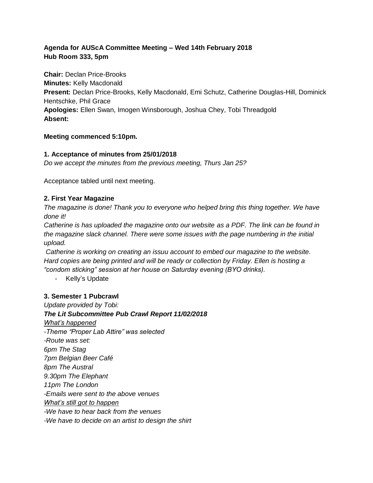# **Agenda for AUScA Committee Meeting – Wed 14th February 2018 Hub Room 333, 5pm**

**Chair:** Declan Price-Brooks **Minutes:** Kelly Macdonald **Present:** Declan Price-Brooks, Kelly Macdonald, Emi Schutz, Catherine Douglas-Hill, Dominick Hentschke, Phil Grace **Apologies:** Ellen Swan, Imogen Winsborough, Joshua Chey, Tobi Threadgold **Absent:**

### **Meeting commenced 5:10pm.**

#### **1. Acceptance of minutes from 25/01/2018**

*Do we accept the minutes from the previous meeting, Thurs Jan 25?*

Acceptance tabled until next meeting.

#### **2. First Year Magazine**

*The magazine is done! Thank you to everyone who helped bring this thing together. We have done it!*

*Catherine is has uploaded the magazine onto our website as a PDF. The link can be found in the magazine slack channel. There were some issues with the page numbering in the initial upload.*

*Catherine is working on creating an issuu account to embed our magazine to the website. Hard copies are being printed and will be ready or collection by Friday. Ellen is hosting a "condom sticking" session at her house on Saturday evening (BYO drinks).*

*-* Kelly's Update

### **3. Semester 1 Pubcrawl**

*Update provided by Tobi: The Lit Subcommittee Pub Crawl Report 11/02/2018 What's happened -Theme "Proper Lab Attire" was selected -Route was set: 6pm The Stag 7pm Belgian Beer Café 8pm The Austral 9.30pm The Elephant 11pm The London -Emails were sent to the above venues What's still got to happen -We have to hear back from the venues -We have to decide on an artist to design the shirt*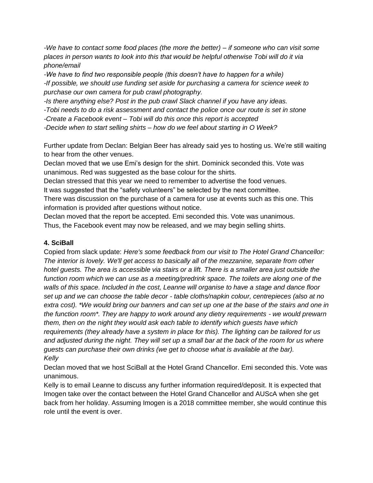*-We have to contact some food places (the more the better) – if someone who can visit some places in person wants to look into this that would be helpful otherwise Tobi will do it via phone/email* 

*-We have to find two responsible people (this doesn't have to happen for a while) -If possible, we should use funding set aside for purchasing a camera for science week to purchase our own camera for pub crawl photography.* 

*-Is there anything else? Post in the pub crawl Slack channel if you have any ideas.* 

*-Tobi needs to do a risk assessment and contact the police once our route is set in stone* 

*-Create a Facebook event – Tobi will do this once this report is accepted* 

*-Decide when to start selling shirts – how do we feel about starting in O Week?* 

Further update from Declan: Belgian Beer has already said yes to hosting us. We're still waiting to hear from the other venues.

Declan moved that we use Emi's design for the shirt. Dominick seconded this. Vote was unanimous. Red was suggested as the base colour for the shirts.

Declan stressed that this year we need to remember to advertise the food venues. It was suggested that the "safety volunteers" be selected by the next committee.

There was discussion on the purchase of a camera for use at events such as this one. This information is provided after questions without notice.

Declan moved that the report be accepted. Emi seconded this. Vote was unanimous. Thus, the Facebook event may now be released, and we may begin selling shirts.

## **4. SciBall**

Copied from slack update: *Here's some feedback from our visit to The Hotel Grand Chancellor: The interior is lovely. We'll get access to basically all of the mezzanine, separate from other hotel guests. The area is accessible via stairs or a lift. There is a smaller area just outside the*  function room which we can use as a meeting/predrink space. The toilets are along one of the *walls of this space. Included in the cost, Leanne will organise to have a stage and dance floor set up and we can choose the table decor - table cloths/napkin colour, centrepieces (also at no extra cost). \*We would bring our banners and can set up one at the base of the stairs and one in the function room\*. They are happy to work around any dietry requirements - we would prewarn them, then on the night they would ask each table to identify which guests have which requirements (they already have a system in place for this). The lighting can be tailored for us and adjusted during the night. They will set up a small bar at the back of the room for us where guests can purchase their own drinks (we get to choose what is available at the bar). Kelly*

Declan moved that we host SciBall at the Hotel Grand Chancellor. Emi seconded this. Vote was unanimous.

Kelly is to email Leanne to discuss any further information required/deposit. It is expected that Imogen take over the contact between the Hotel Grand Chancellor and AUScA when she get back from her holiday. Assuming Imogen is a 2018 committee member, she would continue this role until the event is over.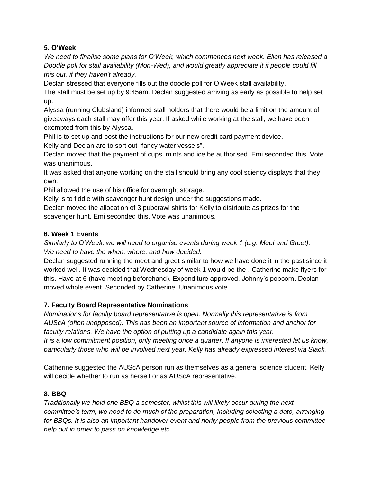### **5. O'Week**

*We need to finalise some plans for O'Week, which commences next week. Ellen has released a Doodle poll for stall availability (Mon-Wed), and would greatly appreciate it if people could fill this out, if they haven't already.*

Declan stressed that everyone fills out the doodle poll for O'Week stall availability.

The stall must be set up by 9:45am. Declan suggested arriving as early as possible to help set up.

Alyssa (running Clubsland) informed stall holders that there would be a limit on the amount of giveaways each stall may offer this year. If asked while working at the stall, we have been exempted from this by Alyssa.

Phil is to set up and post the instructions for our new credit card payment device.

Kelly and Declan are to sort out "fancy water vessels".

Declan moved that the payment of cups, mints and ice be authorised. Emi seconded this. Vote was unanimous.

It was asked that anyone working on the stall should bring any cool sciency displays that they own.

Phil allowed the use of his office for overnight storage.

Kelly is to fiddle with scavenger hunt design under the suggestions made.

Declan moved the allocation of 3 pubcrawl shirts for Kelly to distribute as prizes for the scavenger hunt. Emi seconded this. Vote was unanimous.

### **6. Week 1 Events**

*Similarly to O'Week, we will need to organise events during week 1 (e.g. Meet and Greet). We need to have the when, where, and how decided.*

Declan suggested running the meet and greet similar to how we have done it in the past since it worked well. It was decided that Wednesday of week 1 would be the . Catherine make flyers for this. Have at 6 (have meeting beforehand). Expenditure approved. Johnny's popcorn. Declan moved whole event. Seconded by Catherine. Unanimous vote.

# **7. Faculty Board Representative Nominations**

*Nominations for faculty board representative is open. Normally this representative is from AUScA (often unopposed). This has been an important source of information and anchor for faculty relations. We have the option of putting up a candidate again this year. It is a low commitment position, only meeting once a quarter. If anyone is interested let us know, particularly those who will be involved next year. Kelly has already expressed interest via Slack.*

Catherine suggested the AUScA person run as themselves as a general science student. Kelly will decide whether to run as herself or as AUScA representative.

# **8. BBQ**

*Traditionally we hold one BBQ a semester, whilst this will likely occur during the next committee's term, we need to do much of the preparation, Including selecting a date, arranging for BBQs. It is also an important handover event and norlly people from the previous committee help out in order to pass on knowledge etc.*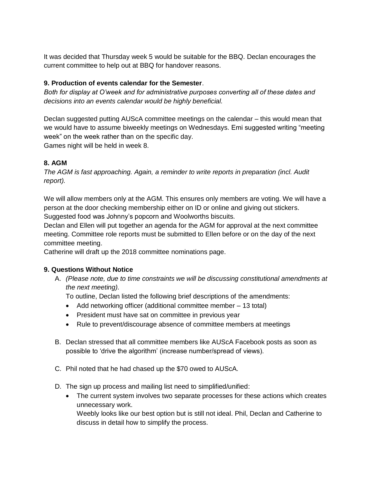It was decided that Thursday week 5 would be suitable for the BBQ. Declan encourages the current committee to help out at BBQ for handover reasons.

### **9. Production of events calendar for the Semester**.

*Both for display at O'week and for administrative purposes converting all of these dates and decisions into an events calendar would be highly beneficial.*

Declan suggested putting AUScA committee meetings on the calendar – this would mean that we would have to assume biweekly meetings on Wednesdays. Emi suggested writing "meeting week" on the week rather than on the specific day.

Games night will be held in week 8.

### **8. AGM**

*The AGM is fast approaching. Again, a reminder to write reports in preparation (incl. Audit report).*

We will allow members only at the AGM. This ensures only members are voting. We will have a person at the door checking membership either on ID or online and giving out stickers. Suggested food was Johnny's popcorn and Woolworths biscuits.

Declan and Ellen will put together an agenda for the AGM for approval at the next committee meeting. Committee role reports must be submitted to Ellen before or on the day of the next committee meeting.

Catherine will draft up the 2018 committee nominations page.

### **9. Questions Without Notice**

A. *(Please note, due to time constraints we will be discussing constitutional amendments at the next meeting).*

To outline, Declan listed the following brief descriptions of the amendments:

- Add networking officer (additional committee member 13 total)
- President must have sat on committee in previous year
- Rule to prevent/discourage absence of committee members at meetings
- B. Declan stressed that all committee members like AUScA Facebook posts as soon as possible to 'drive the algorithm' (increase number/spread of views).
- C. Phil noted that he had chased up the \$70 owed to AUScA.
- D. The sign up process and mailing list need to simplified/unified:
	- The current system involves two separate processes for these actions which creates unnecessary work.

Weebly looks like our best option but is still not ideal. Phil, Declan and Catherine to discuss in detail how to simplify the process.